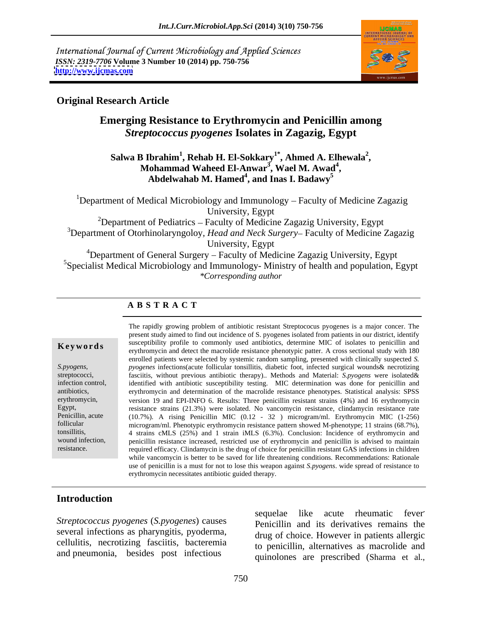International Journal of Current Microbiology and Applied Sciences *ISSN: 2319-7706* **Volume 3 Number 10 (2014) pp. 750-756 <http://www.ijcmas.com>**



## **Original Research Article**

# **Emerging Resistance to Erythromycin and Penicillin among**  *Streptococcus pyogenes* **Isolates in Zagazig, Egypt**

### **Salwa B Ibrahim<sup>1</sup> , Rehab H. El-Sokkary1\* , Ahmed A. Elhewala<sup>2</sup>** Mohammad Waheed El-Anwar<sup>3</sup>, Wael M. Awad<sup>4</sup>, **, Wael M. Awad<sup>4</sup>** Abdelwahab M. Hamed<sup>4</sup>, and Inas I. Badawy<sup>5</sup> **, and Inas I. Badawy<sup>5</sup>**

<sup>1</sup>Department of Medical Microbiology and Immunology – Faculty of Medicine Zagazig University, Egypt

<sup>2</sup>Department of Pediatrics – Faculty of Medicine Zagazig University, Egypt <sup>3</sup>Department of Otorhinolaryngoloy, *Head and Neck Surgery*– Faculty of Medicine Zagazig University, Egypt

<sup>4</sup>Department of General Surgery – Faculty of Medicine Zagazig University, Egypt <sup>5</sup>Specialist Medical Microbiology and Immunology- Ministry of health and population, Egypt *\*Corresponding author*

# **A B S T R A C T**

**Key words**erythromycin and detect the macrolide resistance phenotypic patter. A cross sectional study with 180 *S.pyogens*, pyogenes infections (acute follicular tonsillitis, diabetic foot, infected surgical wounds & necrotizing fasciitis, without previous antibiotic therapy).. Methods and Material: *S.pyogens* were isolated & infection control, identified with antibiotic susceptibility testing. MIC determination was done for penicillin and antibiotics, erythromycin and determination of the macrolide resistance phenotypes. Statistical analysis: SPSS erythromycin, version 19 and EPI-INFO 6. Results: Three penicillin resistant strains (4%) and 16 erythromycin Egypt, resistance strains (21.3%) were isolated. No vancomycin resistance, clindamycin resistance rate Penicillin, acute (10.7%). A rising Penicillin MIC (0.12 - 32) microgram/ml. Erythromycin MIC (1-256) follicular microgram/ml Phenotynic erythromycin resistance pattern showed M-phenotyne: 11 strains (68.7%) Penicillin, acute (10.7%). A rising Penicillin MIC (0.12 - 32 ) microgram/ml. Erythromycin MIC (1-256) microgram/ml. Phenotypic erythromycin resistance pattern showed M-phenotype; 11 strains (68.7%), tonsillitis, 4 strains cMLS (25%) and 1 strain iMLS (6.3%). Conclusion: Incidence of erythromycin and wound infection, penicillin resistance increased, restricted use of erythromycin and penicillin is advised to maintain resistance. The required efficacy. Clindamycin is the drug of choice for penicillin resistant GAS infections in children The rapidly growing problem of antibiotic resistant Streptococus pyogenes is a major concer. The present study aimed to find out incidence of S. pyogenes isolated from patients in our district, identify susceptibility profile to commonly used antibiotics, determine MIC of isolates to penicillin and enrolled patients were selected by systemic random sampling, presented with clinically suspected *S. pyogenes* infections(acute follicular tonsillitis, diabetic foot, infected surgical wounds& necrotizing while vancomycin is better to be saved for life threatening conditions. Recommendations: Rationale use of penicillin is a must for not to lose this weapon against *S.pyogens*. wide spread of resistance to erythromycin necessitates antibiotic guided therapy.

# **Introduction**

several infections as pharyngitis, pyoderma, cellulitis, necrotizing fasciitis, bacteremia and pneumonia, besides post infectious

*Streptococcus pyogenes* (*S.pyogenes*) causes and its derivatives remay be equelered in the sequelare integrative semi-<br>Penicillin and its derivatives remay sequelae like acute rheumatic fever fever Penicillin and its derivatives remains the drug of choice. However in patients allergic to penicillin, alternatives as macrolide and quinolones are prescribed (Sharma et al.,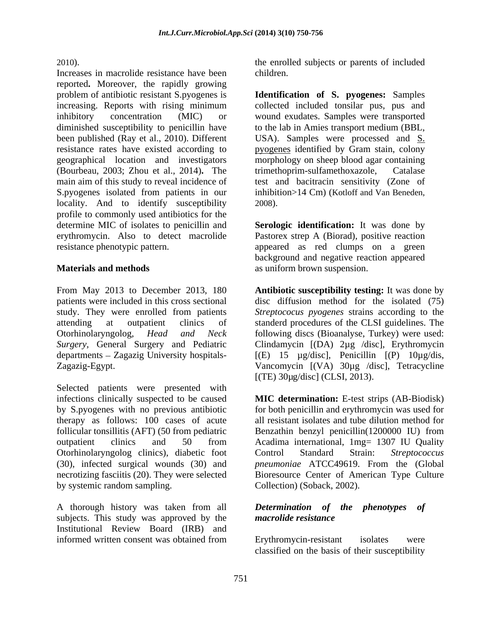Increases in macrolide resistance have been reported**.** Moreover, the rapidly growing problem of antibiotic resistant S.pyogenes is **Identification of S. pyogenes:** Samples increasing. Reports with rising minimum collected included tonsilar pus, pus and inhibitory concentration (MIC) or wound exudates. Samples were transported diminished susceptibility to penicillin have to the lab in Amies transport medium (BBL, been published (Ray et al., 2010). Different USA). Samples were processed and S. resistance rates have existed according to pyogenes identified by Gram stain, colony geographical location and investigators morphology on sheep blood agar containing (Bourbeau, 2003; Zhou et al., 2014)**.** The main aim of this study to reveal incidence of S.pyogenes isolated from patients in our locality. And to identify susceptibility profile to commonly used antibiotics for the determine MIC of isolates to penicillin and **Serologic identification:** It was done by erythromycin. Also to detect macrolide Pastorex strep A (Biorad), positive reaction resistance phenotypic pattern. appeared as red clumps on a green

Selected patients were presented with by systemic random sampling.

A thorough history was taken from all **Determination** of the phenotypes of subjects. This study was approved by the *macrolide resistance* Institutional Review Board (IRB) and

2010). the enrolled subjects or parents of included children.

> trimethoprim-sulfamethoxazole, test and bacitracin sensitivity (Zone of inhibition>14 Cm) (Kotloff and Van Beneden, 2008).

**Materials and methods** as uniform brown suspension. background and negative reaction appeared

From May 2013 to December 2013, 180 **Antibiotic susceptibility testing:** It was done by patients were included in this cross sectional disc diffusion method for the isolated (75) study. They were enrolled from patients *Streptococus pyogenes* strains according to the attending at outpatient clinics of standerd procedures of the CLSI guidelines. The Otorhinolaryngolog*, Head and Neck* following discs (Bioanalyse, Turkey) were used: *Surgery,* General Surgery and Pediatric Clindamycin [(DA) 2µg /disc], Erythromycin departments – Zagazig University hospitals- [(E) 15 µg/disc], Penicillin [(P) 10µg/dis, Zagazig-Egypt. Vancomycin [(VA) 30µg /disc], Tetracycline [(TE) 30µg/disc] (CLSI, 2013).

infections clinically suspected to be caused **MIC determination:** E-test strips (AB-Biodisk) by S.pyogenes with no previous antibiotic for both penicillin and erythromycin was used for therapy as follows: 100 cases of acute all resistant isolates and tube dilution method for follicular tonsillitis (AFT) (50 from pediatric Benzathin benzyl penicillin(1200000 IU) from outpatient clinics and 50 from Acadima international, 1mg= 1307 IU Quality Otorhinolaryngolog clinics), diabetic foot Control Standard Strain: Streptococcus (30), infected surgical wounds (30) and *pneumoniae* ATCC49619. From the (Global necrotizing fasciitis (20). They were selected Bioresource Center of American Type Culture Control Standard Strain: *Streptococcus*  Collection) (Soback, 2002).

### *Determination of the phenotypes of macrolide resistance*

informed written consent was obtained from Frythromycin-resistant isolates were Erythromycin-resistant isolates were classified on the basis of their susceptibility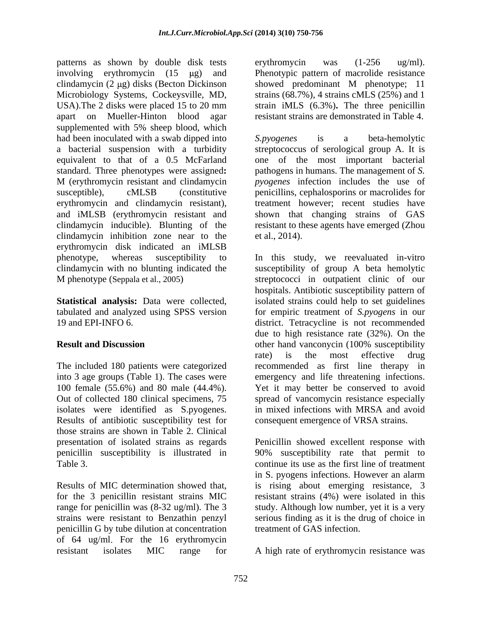patterns as shown by double disk tests erythromycin was (1-256 ug/ml). involving erythromycin (15  $\mu$ g) and Phenotypic pattern of macrolide resistance clindamycin (2  $\mu$ g) disks (Becton Dickinson Microbiology Systems, Cockeysville, MD, strains (68.7%), 4 strains cMLS (25%) and 1 USA).The 2 disks were placed 15 to 20 mm strain iMLS (6.3%)**.** The three penicillin apart on Mueller-Hinton blood agar resistant strains are demonstrated in Table 4. supplemented with 5% sheep blood, which had been inoculated with a swab dipped into S. pyogenes is a beta-hemolytic a bacterial suspension with a turbidity streptococcus of serological group A. It is equivalent to that of a 0.5 McFarland one of the most important bacterial standard. Three phenotypes were assigned**:** pathogens in humans. The management of *S.*  M (erythromycin resistant and clindamycin *pyogenes* infection includes the use of susceptible), cMLSB (constitutive penicillins, cephalosporins or macrolides for erythromycin and clindamycin resistant), treatment however; recent studies have and iMLSB (erythromycin resistant and clindamycin inducible). Blunting of the resistant to these agents have emerged (Zhou clindamycin inhibition zone near to the et al., 2014). erythromycin disk indicated an iMLSB phenotype, whereas susceptibility to In this study, we reevaluated in-vitro clindamycin with no blunting indicated the susceptibility of group A beta hemolytic M phenotype (Seppala et al., 2005) streptococci in outpatient clinic of our

isolates were identified as S.pyogenes. in mixed infections with MRSA and avoid<br>Results of antibiotic susceptibility test for consequent emergence of VRSA strains. those strains are shown in Table 2. Clinical penicillin susceptibility is illustrated in

for the 3 penicillin resistant strains MIC strains were resistant to Benzathin penzyl penicillin G by tube dilution at concentration of 64 ug/ml. For the 16 erythromycin erythromycin was (1-256 ug/ml). showed predominant M phenotype; 11

*S.pyogenes* is a beta-hemolytic shown that changing strains of GAS et al., 2014).

**Statistical analysis:** Data were collected, isolated strains could help to set guidelines tabulated and analyzed using SPSS version for empiric treatment of *S.pyogens* in our 19 and EPI-INFO 6. district. Tetracycline is not recommended **Result and Discussion being only other hand vanconycin (100% susceptibility** The included 180 patients were categorized recommended as first line therapy in into 3 age groups (Table 1). The cases were emergency and life threatening infections. 100 female (55.6%) and 80 male (44.4%). Yet it may better be conserved to avoid Out of collected 180 clinical specimens, 75 spread of vancomycin resistance especially hospitals. Antibiotic susceptibility pattern of due to high resistance rate (32%). On the rate) is the most effective drug in mixed infections with MRSA and avoid consequent emergence of VRSA strains.

presentation of isolated strains as regards Penicillin showed excellent response with Table 3. Continue its use as the first line of treatment Results of MIC determination showed that, is rising about emerging resistance, 3 range for penicillin was (8-32 ug/ml). The 3 study. Although low number, yet it is a very 90% susceptibility rate that permit to in S. pyogens infections. However an alarm resistant strains (4%) were isolated in this serious finding as it is the drug of choice in treatment of GAS infection.

resistant isolates MIC range for A high rate of erythromycin resistance was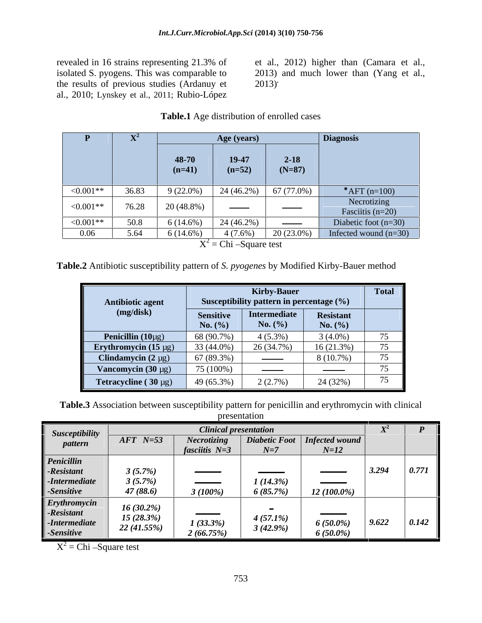the results of previous studies (Ardanuy et al., 2010; Lynskey et al., 2011; Rubio-López

revealed in 16 strains representing 21.3% of et al., 2012) higher than (Camara et al., isolated S. pyogens. This was comparable to 2013) and much lower than (Yang et al., 2013) dies (Ardanuy et 2013)<br>
11; Rubio-López<br> **Table.1** Age distribution of enrolled cases

|             |       |                   | Age (years)                    |                                    | Diagnosis                         |
|-------------|-------|-------------------|--------------------------------|------------------------------------|-----------------------------------|
|             |       | 48-70<br>$(n=41)$ | 19-47<br>$(n=52)$              | $2 - 18$<br>$(N=87)$               |                                   |
|             |       |                   |                                |                                    |                                   |
| $< 0.001**$ | 36.83 | $9(22.0\%)$       | $24(46.2\%)$                   | 67 (77.0%)                         | * $AFT$ (n=100)                   |
| $<0.001**$  | 76.28 | 20 (48.8%)        | $\overbrace{\hspace{25mm}}^{}$ | $\overbrace{\hspace{25mm}}^{}$     | Necrotizing<br>Fasciitis $(n=20)$ |
| $<0.001**$  | 50.8  | $6(14.6\%)$       | $24(46.2\%)$                   | <b>Continued by Continued Bank</b> | Diabetic foot $(n=30)$            |
| 0.06        | 5.64  | $6(14.6\%)$       | $4(7.6\%)$                     | $20(23.0\%)$                       | Infected wound $(n=30)$           |
|             |       |                   | $X^2 =$ Chi -Square test       |                                    |                                   |

**Table.2** Antibiotic susceptibility pattern of *S. pyogenes* by Modified Kirby-Bauer method

|                                  |                                 | <b>Kirby-Bauer</b>                                                                                                                                                                                                                                                                                                                                                                                                                                                         |                                 | <b>Total</b> |
|----------------------------------|---------------------------------|----------------------------------------------------------------------------------------------------------------------------------------------------------------------------------------------------------------------------------------------------------------------------------------------------------------------------------------------------------------------------------------------------------------------------------------------------------------------------|---------------------------------|--------------|
| Antibiotic agent                 |                                 | Susceptibility pattern in percentage (%)                                                                                                                                                                                                                                                                                                                                                                                                                                   |                                 |              |
| (mg/disk)                        | <b>Sensitive</b><br>No. $(\% )$ | Intermediate<br>No. $(\% )$                                                                                                                                                                                                                                                                                                                                                                                                                                                | <b>Resistant</b><br>No. $(\% )$ |              |
| <b>Penicillin</b> $(10\mu g)$    | 68 (90.7%)                      | $4(5.3\%)$                                                                                                                                                                                                                                                                                                                                                                                                                                                                 | $3(4.0\%)$                      | 75           |
| <b>Erythromycin</b> $(15 \mu g)$ | 33 (44.0%)                      | 26 (34.7%)                                                                                                                                                                                                                                                                                                                                                                                                                                                                 | 16 (21.3%)                      | 75           |
| Clindamycin $(2 \mu g)$          | 67 (89.3%)                      | $\frac{1}{2} \left( \frac{1}{2} \right) \left( \frac{1}{2} \right) \left( \frac{1}{2} \right) \left( \frac{1}{2} \right) \left( \frac{1}{2} \right) \left( \frac{1}{2} \right) \left( \frac{1}{2} \right) \left( \frac{1}{2} \right) \left( \frac{1}{2} \right) \left( \frac{1}{2} \right) \left( \frac{1}{2} \right) \left( \frac{1}{2} \right) \left( \frac{1}{2} \right) \left( \frac{1}{2} \right) \left( \frac{1}{2} \right) \left( \frac{1}{2} \right) \left( \frac$ | $8(10.7\%)$                     | 75           |
| Vancomycin $(30 \mu g)$          | 75 (100%)                       |                                                                                                                                                                                                                                                                                                                                                                                                                                                                            |                                 | $ -$         |
| <b>Tetracycline</b> $(30 \mu g)$ | 49 (65.3%)                      | 2(2.7%)                                                                                                                                                                                                                                                                                                                                                                                                                                                                    | 24 (32%)                        | 75           |

**Table.3** Association between susceptibility pattern for penicillin and erythromycin with clinical

presentation **presentation** 

| <b>Susceptibility</b> |              | <b>Clinical presentation</b> |             |                                       |       |                               |
|-----------------------|--------------|------------------------------|-------------|---------------------------------------|-------|-------------------------------|
| pattern               | $AFT$ N=53   | Necrotizing                  |             | Diabetic Foot   Infected wound        |       |                               |
|                       |              | fasciitis $N=3$              | $N=7$       | $N=12$                                |       |                               |
| Penicillin            |              |                              |             |                                       |       |                               |
| -Resistant            | 3(5.7%)      |                              | ________    | ___________                           | 3.294 | 0.771                         |
| $-Intermediate$       | 3(5.7%)      | ---------------              | $1(14.3\%)$ |                                       |       |                               |
| -Sensitive            | 47(88.6)     | $3(100\%)$                   | 6(85.7%)    | $12(100.0\%)$                         |       |                               |
| Erythromycin          |              |                              |             |                                       |       |                               |
| -Resistant            | $16(30.2\%)$ |                              |             | يسترسل سترسخ يسترسل بماريعتهما يسترسخ |       |                               |
| $-Intermediate$       | 15(28.3%)    | $\frac{1}{1}$ (33.3%)        | $4(57.1\%)$ | $6(50.0\%)$                           | 9.622 | $\parallel$ 0.142 $\parallel$ |
| -Sensitive            | 22 (41.55%)  | 2(66.75%)                    | $3(42.9\%)$ | $6(50.0\%)$                           |       |                               |

 $X^2$  = Chi –Square test  $2-\text{Chi}$  Square to t  $X^2$  = Chi - Square test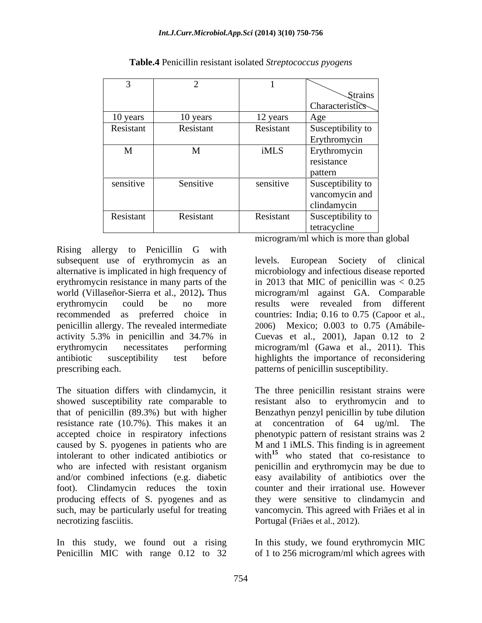|             |           |           | $\mathcal{S}$ trains |
|-------------|-----------|-----------|----------------------|
|             |           |           | Characteristics      |
| 10 years    | 10 years  | 12 years  | <u>Age</u>           |
| Resistant   | Resistant | Resistant | Susceptibility to    |
|             |           |           | Erythromycin         |
| $\mathbf M$ | M         | iMLS      | Erythromycin         |
|             |           |           | resistance           |
|             |           |           | pattern              |
| sensitive   | Sensitive | sensitive | Susceptibility to    |
|             |           |           | vancomycin and       |
|             |           |           | clindamycin          |
| Resistant   | Resistant | Resistant | Susceptibility to    |
|             |           |           | tetracycline         |

**Table.4** Penicillin resistant isolated *Streptococcus pyogens*

Rising allergy to Penicillin G with subsequent use of erythromycin as an levels. alternative is implicated in high frequency of microbiology and infectious disease reported erythromycin resistance in many parts of the world (Villaseñor-Sierra et al., 2012)**.** Thus erythromycin could be no more recommended as preferred choice in countries: India; 0.16 to 0.75 (Capoor et al., penicillin allergy. The revealed intermediate 2006) Mexico; 0.003 to 0.75 (Amábile activity 5.3% in penicillin and 34.7% in Cuevas et al., 2001), Japan 0.12 to 2 erythromycin necessitates performing microgram/ml (Gawa et al., 2011). This antibiotic susceptibility test before highlights the importance of reconsidering prescribing each. **patterns** of penicillin susceptibility.

The situation differs with clindamycin, it The three penicillin resistant strains were showed susceptibility rate comparable to resistant also to erythromycin and to that of penicillin (89.3%) but with higher Benzathyn penzyl penicillin by tube dilution resistance rate (10.7%). This makes it an at concentration of 64 ug/ml. The accepted choice in respiratory infections phenotypic pattern of resistant strains was 2 caused by S. pyogenes in patients who are M and 1 iMLS. This finding is in agreement intolerant to other indicated antibiotics or who are infected with resistant organism penicillin and erythromycin may be due to and/or combined infections (e.g. diabetic easy availability of antibiotics over the foot). Clindamycin reduces the toxin counter and their irrational use. However producing effects of S. pyogenes and as such, may be particularly useful for treating vancomycin. This agreed with Friães et al in necrotizing fasciitis. Portugal (Friães et al., 2012).

microgram/ml which is more than global

European Society of clinical in 2013 that MIC of penicillin was  $< 0.25$ microgram/ml against GA. Comparable results were revealed from different

at concentration of  $64 \text{ ug/ml}$ . with<sup>15</sup> who stated that co-resistance to they were sensitive to clindamycin and

In this study, we found out a rising In this study, we found erythromycin MIC Penicillin MIC with range 0.12 to 32 of 1 to 256 microgram/ml which agrees with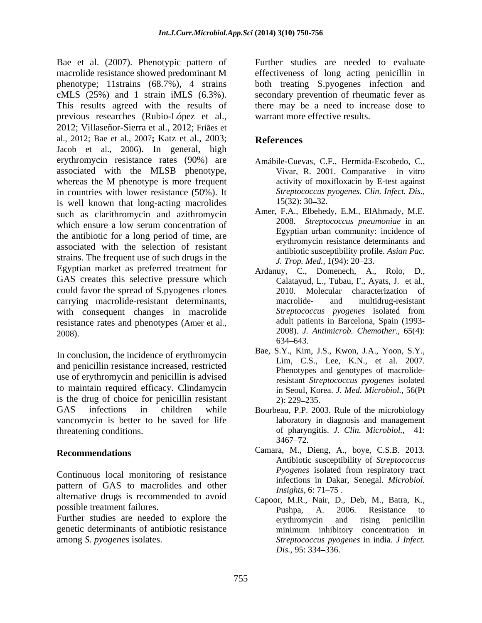Bae et al. (2007). Phenotypic pattern of Further studies are needed to evaluate macrolide resistance showed predominant M effectiveness of long acting penicillin in phenotype; 11strains (68.7%), 4 strains both treating S.pyogenes infection and cMLS (25%) and 1 strain iMLS (6.3%). Secondary prevention of rheumatic fever as<br>This results agreed with the results of there may be a need to increase dose to previous researches (Rubio-López et al., 2012; Villaseñor-Sierra et al., 2012; Friães et al., 2012; Bae et al., 2007**;** Katz et al., 2003; Jacob et al., 2006). In general, high erythromycin resistance rates (90%) are Amábile-Cuevas, C.F., Hermida-Escobedo, C., associated with the MLSB phenotype, Vivar, R. 2001. Comparative in vitro whereas the M phenotype is more frequent in countries with lower resistance (50%). It<br>is well known that long-acting macrolides 15(32): 30–32. is well known that long-acting macrolides  $15(32)$ : 30–32.<br>such as clarithromycin and azithromycin Amer, F.A., Elbehedy, E.M., ElAhmady, M.E. such as clarithromycin and azithromycin Amer, F.A., Elbehedy, E.M., ElAhmady, M.E.<br>which against a low correspondent and a 2008. Streptococcus pneumoniae in an which ensure a low serum concentration of the antibiotic for a long period of time, are associated with the selection of resistant strains. The frequent use of such drugs in the  $J.$  Trop. Med., 1(94): 20–23. Egyptian market as preferred treatment for  $Ardanuy$ , C., Domenech, A., Rolo, D., GAS creates this selective pressure which could favor the spread of S.pyogenes clones carrying macrolide-resistant determinants, with consequent changes in macrolide resistance rates and phenotypes (Amer et al., 2008). 2008). *J. Antimicrob. Chemother.,* 65(4):

and penicillin resistance increased, restricted<br>Phenotypes and genotypes of macrolideuse of erythromycin and penicillin is advised to maintain required efficacy. Clindamycin is the drug of choice for penicillin resistant  $(2)$ : 229–235. GAS infections in children while Bourbeau, P.P. 2003. Rule of the microbiology vancomycin is better to be saved for life

pattern of GAS to macrolides and other *Insights*, 6:71–75. alternative drugs is recommended to avoid Capoor, M.R., Nair, D., Deb, M., Batra, K.,

Further studies are needed to explore the erythromycin and rising penicillin genetic determinants of antibiotic resistance

secondary prevention of rheumatic fever as there may be a need to increase dose to warrant more effective results.

# **References**

- Amábile-Cuevas, C.F., Hermida-Escobedo, C., Vivar, R. 2001. Comparative in vitro activity of moxifloxacin by E-test against *Streptococcus pyogenes*. *Clin. Infect. Dis.,* 15(32): 30 32.
- Amer, F.A., Elbehedy, E.M., ElAhmady, M.E. 2008. *Streptococcus pneumoniae* in an Egyptian urban community: incidence of erythromycin resistance determinants and antibiotic susceptibility profile. *Asian Pac. J. Trop. Med.,* 1(94): 20–23.
- Calatayud, L., Tubau, F., Ayats, J. et al., 2010. Molecular characterization of macrolide- and multidrug-resistant *Streptococcus pyogenes* isolated from adult patients in Barcelona, Spain (1993- 634 643.
- In conclusion, the incidence of erythromycin<br>
Elm, C.S., Lee, K.N., et al. 2007. Bae, S.Y., Kim, J.S., Kwon, J.A., Yoon, S.Y.,<br>Lim, C.S., Lee, K.N., et al. 2007.<br>Phenotypes and genotypes of macrolideresistant *Streptococcus pyogenes* isolated in Seoul, Korea. *J. Med. Microbiol.,* 56(Pt 2): 229 235.
- threatening conditions. of pharyngitis. *J. Clin. Microbiol.,* 41: laboratory in diagnosis and management 3467–72.
- **Recommendations** Camara, M., Dieng, A., boye, C.S.B. 2013. Continuous local monitoring of resistance *Pyogenes* isolated from respiratory tract Antibiotic susceptibility of *Streptococcus Pyogenes* isolated from respiratory tract infections in Dakar, Senegal. *Microbiol. Insights,* 6: 71–75.
- possible treatment failures.<br>
Pushpa, A. 2006. Resistance to among *S. pyogenes* isolates. *Streptococcus pyogenes* in india. *J Infect.* Capoor, M.R., Nair, D., Deb, M., Batra, K., Pushpa, A. 2006. Resistance to erythromycin and rising penicillin minimum inhibitory concentration in *Dis.,* 95: 334–336.